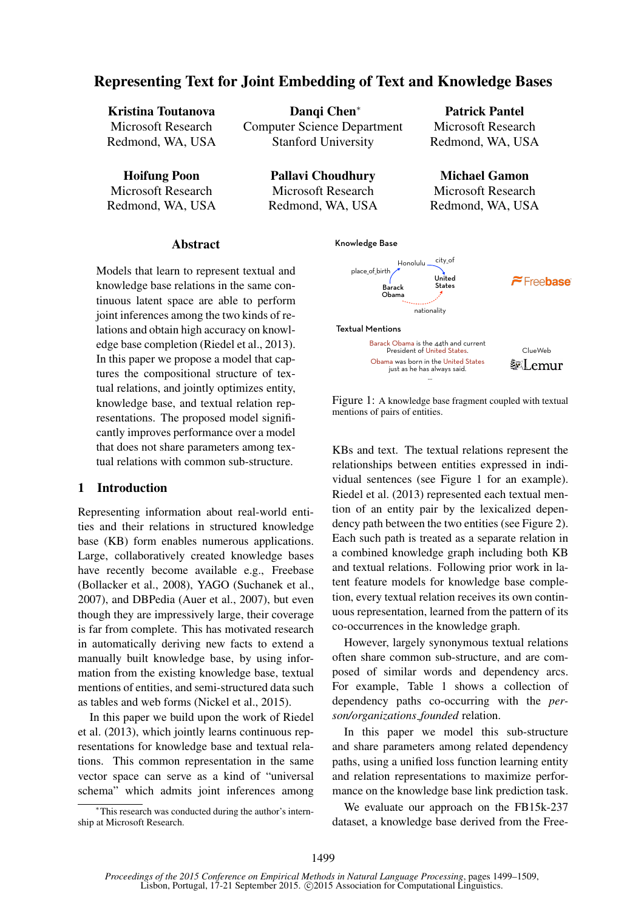# Representing Text for Joint Embedding of Text and Knowledge Bases

| <b>Kristina Toutanova</b> | Dangi Chen <sup>*</sup>            | <b>Patrick Pa</b> |  |  |
|---------------------------|------------------------------------|-------------------|--|--|
| Microsoft Research        | <b>Computer Science Department</b> | Microsoft Rea     |  |  |
| Redmond, WA, USA          | <b>Stanford University</b>         | Redmond, WA       |  |  |
|                           |                                    |                   |  |  |

Hoifung Poon Microsoft Research Redmond, WA, USA

Pallavi Choudhury Microsoft Research Redmond, WA, USA ntel search h, USA

Michael Gamon Microsoft Research Redmond, WA, USA

### Abstract

Models that learn to represent textual and knowledge base relations in the same continuous latent space are able to perform joint inferences among the two kinds of relations and obtain high accuracy on knowledge base completion (Riedel et al., 2013). In this paper we propose a model that captures the compositional structure of textual relations, and jointly optimizes entity, knowledge base, and textual relation representations. The proposed model significantly improves performance over a model that does not share parameters among textual relations with common sub-structure.

# 1 Introduction

Representing information about real-world entities and their relations in structured knowledge base (KB) form enables numerous applications. Large, collaboratively created knowledge bases have recently become available e.g., Freebase (Bollacker et al., 2008), YAGO (Suchanek et al., 2007), and DBPedia (Auer et al., 2007), but even though they are impressively large, their coverage is far from complete. This has motivated research in automatically deriving new facts to extend a manually built knowledge base, by using information from the existing knowledge base, textual mentions of entities, and semi-structured data such as tables and web forms (Nickel et al., 2015).

In this paper we build upon the work of Riedel et al. (2013), which jointly learns continuous representations for knowledge base and textual relations. This common representation in the same vector space can serve as a kind of "universal schema" which admits joint inferences among

∗This research was conducted during the author's internship at Microsoft Research.



Figure 1: A knowledge base fragment coupled with textual mentions of pairs of entities.

just as he has always said. …

KBs and text. The textual relations represent the relationships between entities expressed in individual sentences (see Figure 1 for an example). Riedel et al. (2013) represented each textual mention of an entity pair by the lexicalized dependency path between the two entities (see Figure 2). Each such path is treated as a separate relation in a combined knowledge graph including both KB and textual relations. Following prior work in latent feature models for knowledge base completion, every textual relation receives its own continuous representation, learned from the pattern of its co-occurrences in the knowledge graph.

However, largely synonymous textual relations often share common sub-structure, and are composed of similar words and dependency arcs. For example, Table 1 shows a collection of dependency paths co-occurring with the *person/organizations founded* relation.

In this paper we model this sub-structure and share parameters among related dependency paths, using a unified loss function learning entity and relation representations to maximize performance on the knowledge base link prediction task.

We evaluate our approach on the FB15k-237 dataset, a knowledge base derived from the Free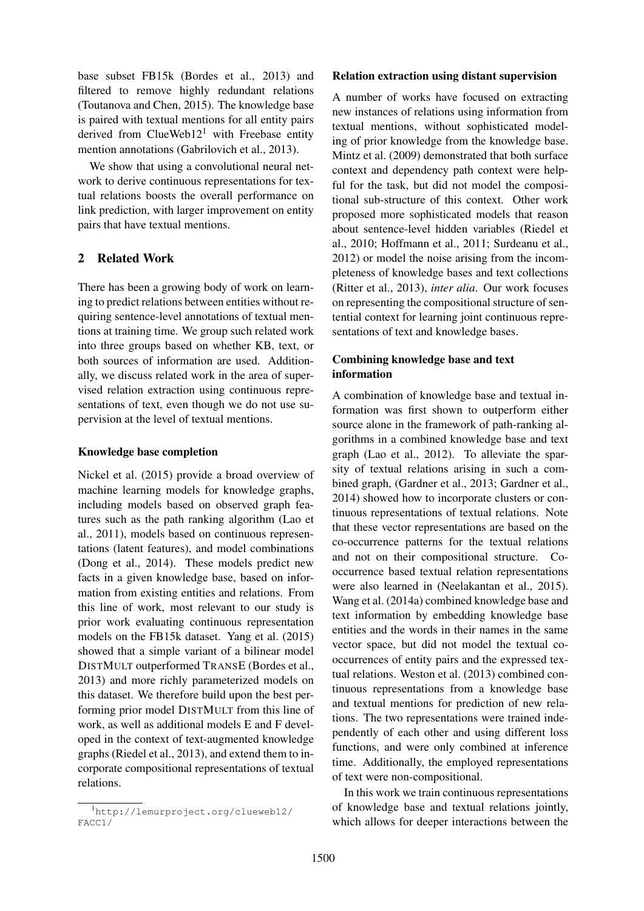base subset FB15k (Bordes et al., 2013) and filtered to remove highly redundant relations (Toutanova and Chen, 2015). The knowledge base is paired with textual mentions for all entity pairs derived from  $ClueWeb12<sup>1</sup>$  with Freebase entity mention annotations (Gabrilovich et al., 2013).

We show that using a convolutional neural network to derive continuous representations for textual relations boosts the overall performance on link prediction, with larger improvement on entity pairs that have textual mentions.

# 2 Related Work

There has been a growing body of work on learning to predict relations between entities without requiring sentence-level annotations of textual mentions at training time. We group such related work into three groups based on whether KB, text, or both sources of information are used. Additionally, we discuss related work in the area of supervised relation extraction using continuous representations of text, even though we do not use supervision at the level of textual mentions.

### Knowledge base completion

Nickel et al. (2015) provide a broad overview of machine learning models for knowledge graphs, including models based on observed graph features such as the path ranking algorithm (Lao et al., 2011), models based on continuous representations (latent features), and model combinations (Dong et al., 2014). These models predict new facts in a given knowledge base, based on information from existing entities and relations. From this line of work, most relevant to our study is prior work evaluating continuous representation models on the FB15k dataset. Yang et al. (2015) showed that a simple variant of a bilinear model DISTMULT outperformed TRANSE (Bordes et al., 2013) and more richly parameterized models on this dataset. We therefore build upon the best performing prior model DISTMULT from this line of work, as well as additional models E and F developed in the context of text-augmented knowledge graphs (Riedel et al., 2013), and extend them to incorporate compositional representations of textual relations.

#### Relation extraction using distant supervision

A number of works have focused on extracting new instances of relations using information from textual mentions, without sophisticated modeling of prior knowledge from the knowledge base. Mintz et al. (2009) demonstrated that both surface context and dependency path context were helpful for the task, but did not model the compositional sub-structure of this context. Other work proposed more sophisticated models that reason about sentence-level hidden variables (Riedel et al., 2010; Hoffmann et al., 2011; Surdeanu et al., 2012) or model the noise arising from the incompleteness of knowledge bases and text collections (Ritter et al., 2013), *inter alia*. Our work focuses on representing the compositional structure of sentential context for learning joint continuous representations of text and knowledge bases.

# Combining knowledge base and text information

A combination of knowledge base and textual information was first shown to outperform either source alone in the framework of path-ranking algorithms in a combined knowledge base and text graph (Lao et al., 2012). To alleviate the sparsity of textual relations arising in such a combined graph, (Gardner et al., 2013; Gardner et al., 2014) showed how to incorporate clusters or continuous representations of textual relations. Note that these vector representations are based on the co-occurrence patterns for the textual relations and not on their compositional structure. Cooccurrence based textual relation representations were also learned in (Neelakantan et al., 2015). Wang et al. (2014a) combined knowledge base and text information by embedding knowledge base entities and the words in their names in the same vector space, but did not model the textual cooccurrences of entity pairs and the expressed textual relations. Weston et al. (2013) combined continuous representations from a knowledge base and textual mentions for prediction of new relations. The two representations were trained independently of each other and using different loss functions, and were only combined at inference time. Additionally, the employed representations of text were non-compositional.

In this work we train continuous representations of knowledge base and textual relations jointly, which allows for deeper interactions between the

<sup>1</sup>http://lemurproject.org/clueweb12/ FACC1/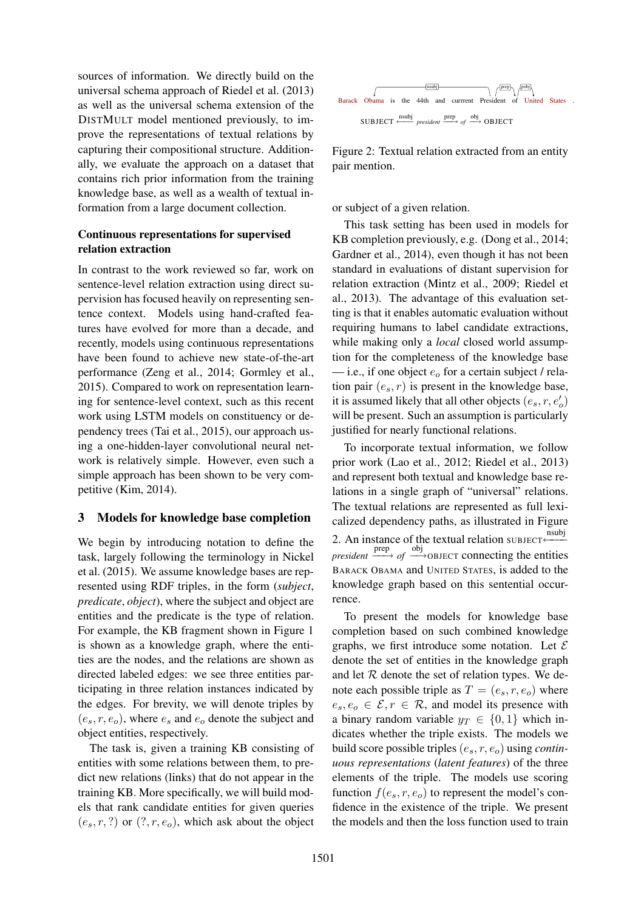sources of information. We directly build on the universal schema approach of Riedel et al. (2013) as well as the universal schema extension of the DISTMULT model mentioned previously, to improve the representations of textual relations by capturing their compositional structure. Additionally, we evaluate the approach on a dataset that contains rich prior information from the training knowledge base, as well as a wealth of textual information from a large document collection.

# Continuous representations for supervised relation extraction

In contrast to the work reviewed so far, work on sentence-level relation extraction using direct supervision has focused heavily on representing sentence context. Models using hand-crafted features have evolved for more than a decade, and recently, models using continuous representations have been found to achieve new state-of-the-art performance (Zeng et al., 2014; Gormley et al., 2015). Compared to work on representation learning for sentence-level context, such as this recent work using LSTM models on constituency or dependency trees (Tai et al., 2015), our approach using a one-hidden-layer convolutional neural network is relatively simple. However, even such a simple approach has been shown to be very competitive (Kim, 2014).

# 3 Models for knowledge base completion

We begin by introducing notation to define the task, largely following the terminology in Nickel et al. (2015). We assume knowledge bases are represented using RDF triples, in the form (*subject*, *predicate*, *object*), where the subject and object are entities and the predicate is the type of relation. For example, the KB fragment shown in Figure 1 is shown as a knowledge graph, where the entities are the nodes, and the relations are shown as directed labeled edges: we see three entities participating in three relation instances indicated by the edges. For brevity, we will denote triples by  $(e_s, r, e_o)$ , where  $e_s$  and  $e_o$  denote the subject and object entities, respectively.

The task is, given a training KB consisting of entities with some relations between them, to predict new relations (links) that do not appear in the training KB. More specifically, we will build models that rank candidate entities for given queries  $(e_s, r, ?)$  or  $(?, r, e_o)$ , which ask about the object



Figure 2: Textual relation extracted from an entity pair mention.

or subject of a given relation.

This task setting has been used in models for KB completion previously, e.g. (Dong et al., 2014; Gardner et al., 2014), even though it has not been standard in evaluations of distant supervision for relation extraction (Mintz et al., 2009; Riedel et al., 2013). The advantage of this evaluation setting is that it enables automatic evaluation without requiring humans to label candidate extractions, while making only a *local* closed world assumption for the completeness of the knowledge base — i.e., if one object  $e_0$  for a certain subject / relation pair  $(e_s, r)$  is present in the knowledge base, it is assumed likely that all other objects  $(e_s, r, e'_o)$ will be present. Such an assumption is particularly justified for nearly functional relations.

1 To incorporate textual information, we follow prior work (Lao et al., 2012; Riedel et al., 2013) and represent both textual and knowledge base relations in a single graph of "universal" relations. The textual relations are represented as full lexicalized dependency paths, as illustrated in Figure 2. An instance of the textual relation SUBJECT ←  $\phi$ *president*  $\xrightarrow{\text{prep}}$  *of*  $\xrightarrow{\text{obj}}$  objects connecting the entities BARACK OBAMA and UNITED STATES, is added to the knowledge graph based on this sentential occurrence.

To present the models for knowledge base completion based on such combined knowledge graphs, we first introduce some notation. Let  $\mathcal E$ denote the set of entities in the knowledge graph and let  $R$  denote the set of relation types. We denote each possible triple as  $T = (e_s, r, e_o)$  where  $e_s, e_o \in \mathcal{E}, r \in \mathcal{R}$ , and model its presence with a binary random variable  $y_T \in \{0, 1\}$  which indicates whether the triple exists. The models we build score possible triples (es, r, eo) using *continuous representations* (*latent features*) of the three elements of the triple. The models use scoring function  $f(e_s, r, e_o)$  to represent the model's confidence in the existence of the triple. We present the models and then the loss function used to train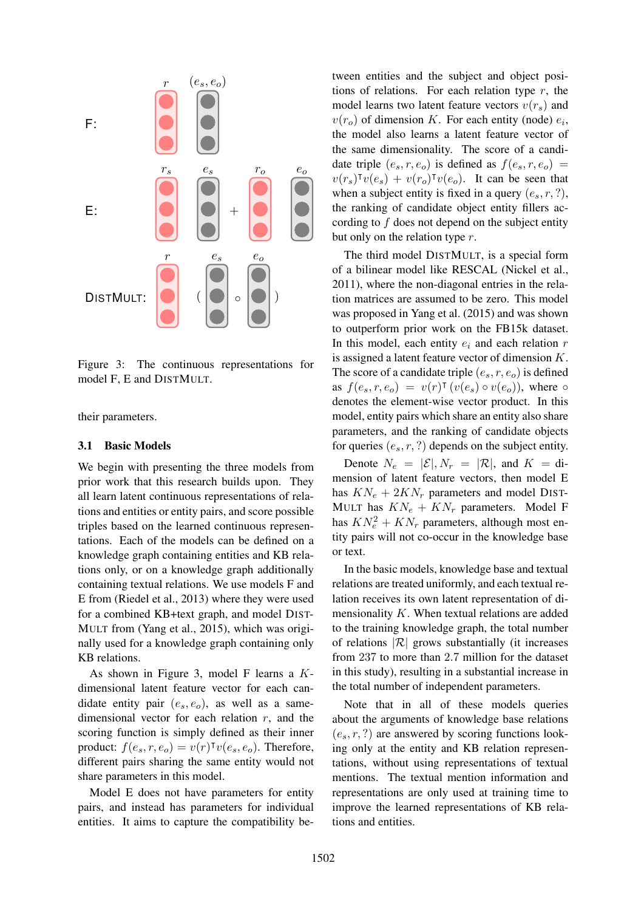

Figure 3: The continuous representations for model F, E and DISTMULT.

their parameters.

#### 3.1 Basic Models

We begin with presenting the three models from prior work that this research builds upon. They all learn latent continuous representations of relations and entities or entity pairs, and score possible triples based on the learned continuous representations. Each of the models can be defined on a knowledge graph containing entities and KB relations only, or on a knowledge graph additionally containing textual relations. We use models F and E from (Riedel et al., 2013) where they were used for a combined KB+text graph, and model DIST-MULT from (Yang et al., 2015), which was originally used for a knowledge graph containing only KB relations.

dimensional vector for each relation  $r$ , and the As shown in Figure 3, model F learns a Kdimensional latent feature vector for each candidate entity pair  $(e_s, e_o)$ , as well as a samescoring function is simply defined as their inner product:  $f(e_s, r, e_o) = v(r)^\intercal v(e_s, e_o)$ . Therefore, different pairs sharing the same entity would not share parameters in this model.

Model E does not have parameters for entity pairs, and instead has parameters for individual entities. It aims to capture the compatibility between entities and the subject and object positions of relations. For each relation type  $r$ , the model learns two latent feature vectors  $v(r_s)$  and  $v(r_o)$  of dimension K. For each entity (node)  $e_i$ , the model also learns a latent feature vector of the same dimensionality. The score of a candidate triple  $(e_s, r, e_o)$  is defined as  $f(e_s, r, e_o)$  =  $v(r_s)^\intercal v(e_s) + v(r_o)^\intercal v(e_o)$ . It can be seen that when a subject entity is fixed in a query  $(e_s, r, ?)$ , the ranking of candidate object entity fillers according to  $f$  does not depend on the subject entity but only on the relation type r.

The third model DISTMULT, is a special form of a bilinear model like RESCAL (Nickel et al., 2011), where the non-diagonal entries in the relation matrices are assumed to be zero. This model was proposed in Yang et al. (2015) and was shown to outperform prior work on the FB15k dataset. In this model, each entity  $e_i$  and each relation  $r$ is assigned a latent feature vector of dimension K. The score of a candidate triple  $(e_s, r, e_o)$  is defined as  $f(e_s, r, e_o) = v(r)^\intercal (v(e_s) \circ v(e_o))$ , where  $\circ$ denotes the element-wise vector product. In this model, entity pairs which share an entity also share parameters, and the ranking of candidate objects for queries  $(e_s, r, ?)$  depends on the subject entity.

Denote  $N_e = |\mathcal{E}|, N_r = |\mathcal{R}|$ , and  $K = \text{di}$ mension of latent feature vectors, then model E has  $KN_e + 2KN_r$  parameters and model DIST-MULT has  $KN_e + KN_r$  parameters. Model F has  $KN_e^2 + KN_r$  parameters, although most entity pairs will not co-occur in the knowledge base or text.

In the basic models, knowledge base and textual relations are treated uniformly, and each textual relation receives its own latent representation of dimensionality  $K$ . When textual relations are added to the training knowledge graph, the total number of relations  $|\mathcal{R}|$  grows substantially (it increases from 237 to more than 2.7 million for the dataset in this study), resulting in a substantial increase in the total number of independent parameters.

Note that in all of these models queries about the arguments of knowledge base relations  $(e_s, r, ?)$  are answered by scoring functions looking only at the entity and KB relation representations, without using representations of textual mentions. The textual mention information and representations are only used at training time to improve the learned representations of KB relations and entities.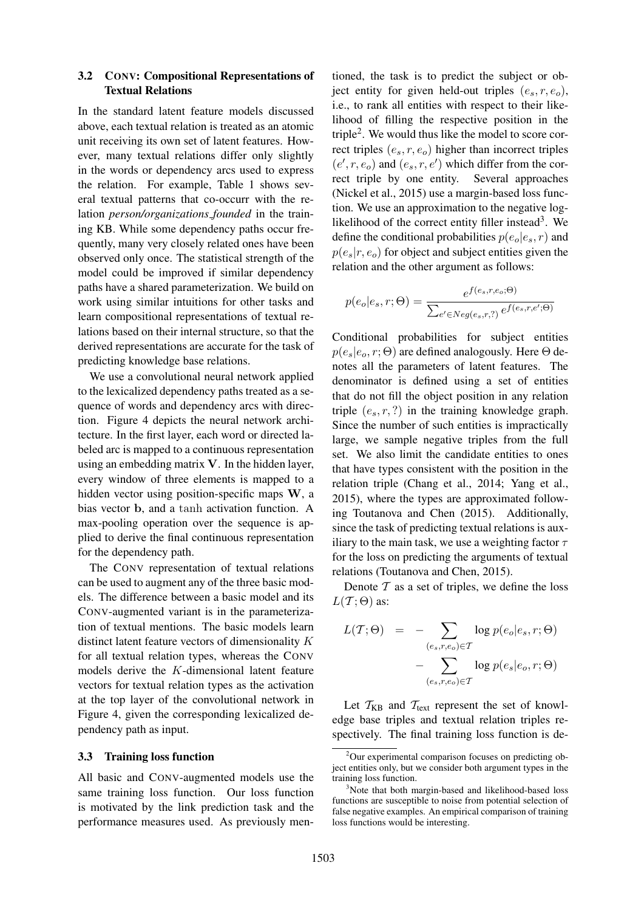### 3.2 CONV: Compositional Representations of Textual Relations

In the standard latent feature models discussed above, each textual relation is treated as an atomic unit receiving its own set of latent features. However, many textual relations differ only slightly in the words or dependency arcs used to express the relation. For example, Table 1 shows several textual patterns that co-occurr with the relation *person/organizations founded* in the training KB. While some dependency paths occur frequently, many very closely related ones have been observed only once. The statistical strength of the model could be improved if similar dependency paths have a shared parameterization. We build on work using similar intuitions for other tasks and learn compositional representations of textual relations based on their internal structure, so that the derived representations are accurate for the task of predicting knowledge base relations.

We use a convolutional neural network applied to the lexicalized dependency paths treated as a sequence of words and dependency arcs with direction. Figure 4 depicts the neural network architecture. In the first layer, each word or directed labeled arc is mapped to a continuous representation using an embedding matrix V. In the hidden layer, every window of three elements is mapped to a hidden vector using position-specific maps W, a bias vector b, and a tanh activation function. A max-pooling operation over the sequence is applied to derive the final continuous representation for the dependency path.

The CONV representation of textual relations can be used to augment any of the three basic models. The difference between a basic model and its CONV-augmented variant is in the parameterization of textual mentions. The basic models learn distinct latent feature vectors of dimensionality K for all textual relation types, whereas the CONV models derive the K-dimensional latent feature vectors for textual relation types as the activation at the top layer of the convolutional network in Figure 4, given the corresponding lexicalized dependency path as input.

#### 3.3 Training loss function

All basic and CONV-augmented models use the same training loss function. Our loss function is motivated by the link prediction task and the performance measures used. As previously men-

tioned, the task is to predict the subject or object entity for given held-out triples  $(e_s, r, e_o)$ , i.e., to rank all entities with respect to their likelihood of filling the respective position in the triple<sup>2</sup> . We would thus like the model to score correct triples  $(e_s, r, e_o)$  higher than incorrect triples  $(e', r, e_o)$  and  $(e_s, r, e')$  which differ from the correct triple by one entity. Several approaches (Nickel et al., 2015) use a margin-based loss function. We use an approximation to the negative loglikelihood of the correct entity filler instead<sup>3</sup>. We define the conditional probabilities  $p(e_o|e_s, r)$  and  $p(e_s|r, e_o)$  for object and subject entities given the relation and the other argument as follows:

$$
p(e_o|e_s, r; \Theta) = \frac{e^{f(e_s, r, e_o; \Theta)}}{\sum_{e' \in Neg(e_s, r, ?)} e^{f(e_s, r, e'; \Theta)}}
$$

Conditional probabilities for subject entities  $p(e_s|e_o, r; \Theta)$  are defined analogously. Here  $\Theta$  denotes all the parameters of latent features. The denominator is defined using a set of entities that do not fill the object position in any relation triple  $(e_s, r, ?)$  in the training knowledge graph. Since the number of such entities is impractically large, we sample negative triples from the full set. We also limit the candidate entities to ones that have types consistent with the position in the relation triple (Chang et al., 2014; Yang et al., 2015), where the types are approximated following Toutanova and Chen (2015). Additionally, since the task of predicting textual relations is auxiliary to the main task, we use a weighting factor  $\tau$ for the loss on predicting the arguments of textual relations (Toutanova and Chen, 2015).

Denote  $T$  as a set of triples, we define the loss  $L(\mathcal{T};\Theta)$  as:

$$
L(\mathcal{T}; \Theta) = - \sum_{(e_s, r, e_o) \in \mathcal{T}} \log p(e_o|e_s, r; \Theta)
$$

$$
- \sum_{(e_s, r, e_o) \in \mathcal{T}} \log p(e_s|e_o, r; \Theta)
$$

Let  $T_{KB}$  and  $T_{text}$  represent the set of knowledge base triples and textual relation triples respectively. The final training loss function is de-

 $2$ Our experimental comparison focuses on predicting object entities only, but we consider both argument types in the training loss function.

<sup>&</sup>lt;sup>3</sup>Note that both margin-based and likelihood-based loss functions are susceptible to noise from potential selection of false negative examples. An empirical comparison of training loss functions would be interesting.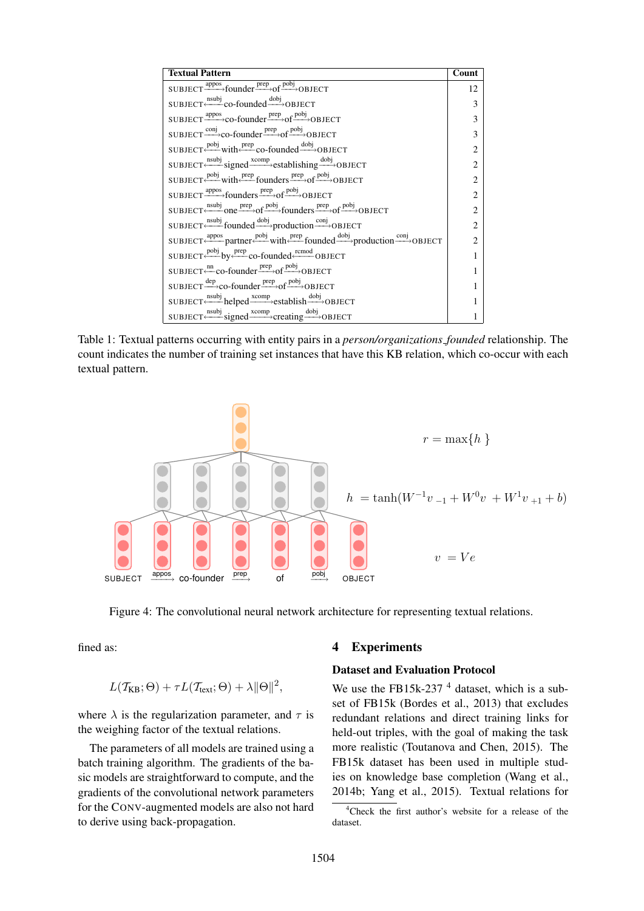| <b>Textual Pattern</b>                                                                                                                           | Count                       |
|--------------------------------------------------------------------------------------------------------------------------------------------------|-----------------------------|
| $SUBJECT \xrightarrow{appos} founder \xrightarrow{prep} of \xrightarrow{pobj} OBJECT$                                                            | 12                          |
| $SUBIECT \xleftarrow{nsubj} co-founded \xrightarrow{dobj} OBIECT$                                                                                | 3                           |
| $SUBJECT \xrightarrow{appos} co-founder \xrightarrow{prep} of \xrightarrow{pobj} OBJECT$                                                         | 3                           |
| SUBJECT $\xrightarrow{\text{conj}}$ co-founder $\xrightarrow{\text{prep}}$ of $\xrightarrow{\text{pobj}}$ OBJECT                                 | 3                           |
| $SUBJECT \xleftarrow{pobj} with \xleftarrow{prep} co-founded \xrightarrow{dobj} OBJECT$                                                          | $\mathfrak{D}$              |
| $SUBJECT \xleftarrow{nsubj} signed \xrightarrow{xcomp} established \xrightarrow{dobj} OBJECT$                                                    | $\mathfrak{D}$              |
| SUBJECT $\xleftarrow{\text{pobj}}$ with $\xleftarrow{\text{prep}}$ founders $\xrightarrow{\text{prep}}$ of $\xrightarrow{\text{pobj}}$ OBJECT    | $\mathfrak{D}$              |
| $SUBJECT \xrightarrow{appos} founders \xrightarrow{prep} of \xrightarrow{pobj} OBJECT$                                                           | $\mathfrak{D}$              |
| $SUBJECT \xleftarrow{nsubj} one \xrightarrow{prep} of \xrightarrow{pobj} founders \xrightarrow{prep} of \xrightarrow{pobj} OBJECT$               | $\mathfrak{D}$              |
| $SUBIECT \xleftarrow{nsubj} founded \xrightarrow{dobj} production \xrightarrow{conj} OBIECT$                                                     | $\mathcal{D}_{\mathcal{A}}$ |
| SUBJECT <u>Appose</u> partner $\xrightarrow{pobj}$ with $\xrightarrow{prep}$ founded $\xrightarrow{dobj}$ production $\xrightarrow{conj}$ OBJECT |                             |
| $SUBJECT \xleftarrow{pobj} by \xleftarrow{prep} co-founded \xleftarrow{rcmod} OBJECT$                                                            |                             |
| SUBJECT $\xrightarrow{\text{nn}}$ co-founder $\xrightarrow{\text{prep}}$ of $\xrightarrow{\text{pobj}}$ OBJECT                                   |                             |
| SUBJECT $\frac{dep}{\longrightarrow}$ co-founder $\frac{prep}{\longrightarrow}$ of $\frac{pobj}{\longrightarrow}$ OBJECT                         |                             |
| $SUBJECT \xleftarrow{nsubj} helped \xrightarrow{xcomp} establish \xrightarrow{dobj} OBJECT$                                                      |                             |
| $SUBIECT \xleftarrow{nsubj} signed \xrightarrow{xcomp} creating \xrightarrow{dobj} OBJECT$                                                       |                             |

Table 1: Textual patterns occurring with entity pairs in a *person/organizations founded* relationship. The count indicates the number of training set instances that have this KB relation, which co-occur with each textual pattern.



Figure 4: The convolutional neural network architecture for representing textual relations.

fined as:

$$
L(\mathcal{T}_{\text{KB}};\Theta) + \tau L(\mathcal{T}_{\text{text}};\Theta) + \lambda \|\Theta\|^2,
$$

where  $\lambda$  is the regularization parameter, and  $\tau$  is the weighing factor of the textual relations.

The parameters of all models are trained using a batch training algorithm. The gradients of the basic models are straightforward to compute, and the gradients of the convolutional network parameters for the CONV-augmented models are also not hard to derive using back-propagation.

### 4 Experiments

### Dataset and Evaluation Protocol

We use the FB15k-237<sup> $4$ </sup> dataset, which is a subset of FB15k (Bordes et al., 2013) that excludes redundant relations and direct training links for held-out triples, with the goal of making the task more realistic (Toutanova and Chen, 2015). The FB15k dataset has been used in multiple studies on knowledge base completion (Wang et al., 2014b; Yang et al., 2015). Textual relations for

<sup>4</sup>Check the first author's website for a release of the dataset.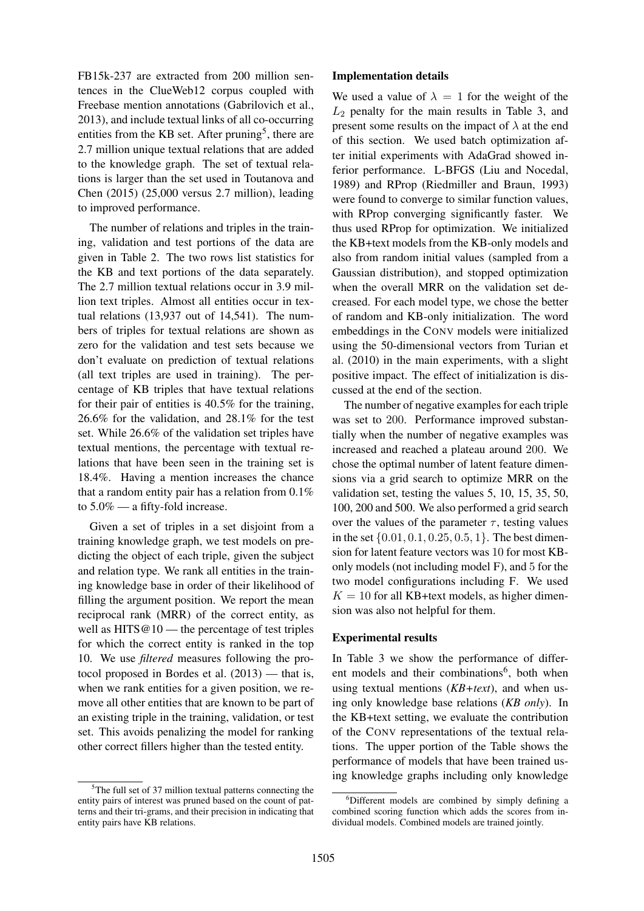FB15k-237 are extracted from 200 million sentences in the ClueWeb12 corpus coupled with Freebase mention annotations (Gabrilovich et al., 2013), and include textual links of all co-occurring entities from the KB set. After pruning<sup>5</sup>, there are 2.7 million unique textual relations that are added to the knowledge graph. The set of textual relations is larger than the set used in Toutanova and Chen (2015) (25,000 versus 2.7 million), leading to improved performance.

The number of relations and triples in the training, validation and test portions of the data are given in Table 2. The two rows list statistics for the KB and text portions of the data separately. The 2.7 million textual relations occur in 3.9 million text triples. Almost all entities occur in textual relations (13,937 out of 14,541). The numbers of triples for textual relations are shown as zero for the validation and test sets because we don't evaluate on prediction of textual relations (all text triples are used in training). The percentage of KB triples that have textual relations for their pair of entities is 40.5% for the training, 26.6% for the validation, and 28.1% for the test set. While 26.6% of the validation set triples have textual mentions, the percentage with textual relations that have been seen in the training set is 18.4%. Having a mention increases the chance that a random entity pair has a relation from  $0.1\%$ to 5.0% — a fifty-fold increase.

Given a set of triples in a set disjoint from a training knowledge graph, we test models on predicting the object of each triple, given the subject and relation type. We rank all entities in the training knowledge base in order of their likelihood of filling the argument position. We report the mean reciprocal rank (MRR) of the correct entity, as well as  $HITS@10$  — the percentage of test triples for which the correct entity is ranked in the top 10. We use *filtered* measures following the protocol proposed in Bordes et al. (2013) — that is, when we rank entities for a given position, we remove all other entities that are known to be part of an existing triple in the training, validation, or test set. This avoids penalizing the model for ranking other correct fillers higher than the tested entity.

#### Implementation details

We used a value of  $\lambda = 1$  for the weight of the  $L_2$  penalty for the main results in Table 3, and present some results on the impact of  $\lambda$  at the end of this section. We used batch optimization after initial experiments with AdaGrad showed inferior performance. L-BFGS (Liu and Nocedal, 1989) and RProp (Riedmiller and Braun, 1993) were found to converge to similar function values, with RProp converging significantly faster. We thus used RProp for optimization. We initialized the KB+text models from the KB-only models and also from random initial values (sampled from a Gaussian distribution), and stopped optimization when the overall MRR on the validation set decreased. For each model type, we chose the better of random and KB-only initialization. The word embeddings in the CONV models were initialized using the 50-dimensional vectors from Turian et al. (2010) in the main experiments, with a slight positive impact. The effect of initialization is discussed at the end of the section.

The number of negative examples for each triple was set to 200. Performance improved substantially when the number of negative examples was increased and reached a plateau around 200. We chose the optimal number of latent feature dimensions via a grid search to optimize MRR on the validation set, testing the values 5, 10, 15, 35, 50, 100, 200 and 500. We also performed a grid search over the values of the parameter  $\tau$ , testing values in the set  $\{0.01, 0.1, 0.25, 0.5, 1\}$ . The best dimension for latent feature vectors was 10 for most KBonly models (not including model F), and 5 for the two model configurations including F. We used  $K = 10$  for all KB+text models, as higher dimension was also not helpful for them.

### Experimental results

In Table 3 we show the performance of different models and their combinations<sup>6</sup>, both when using textual mentions (*KB+text*), and when using only knowledge base relations (*KB only*). In the KB+text setting, we evaluate the contribution of the CONV representations of the textual relations. The upper portion of the Table shows the performance of models that have been trained using knowledge graphs including only knowledge

<sup>&</sup>lt;sup>5</sup>The full set of 37 million textual patterns connecting the entity pairs of interest was pruned based on the count of patterns and their tri-grams, and their precision in indicating that entity pairs have KB relations.

<sup>6</sup>Different models are combined by simply defining a combined scoring function which adds the scores from individual models. Combined models are trained jointly.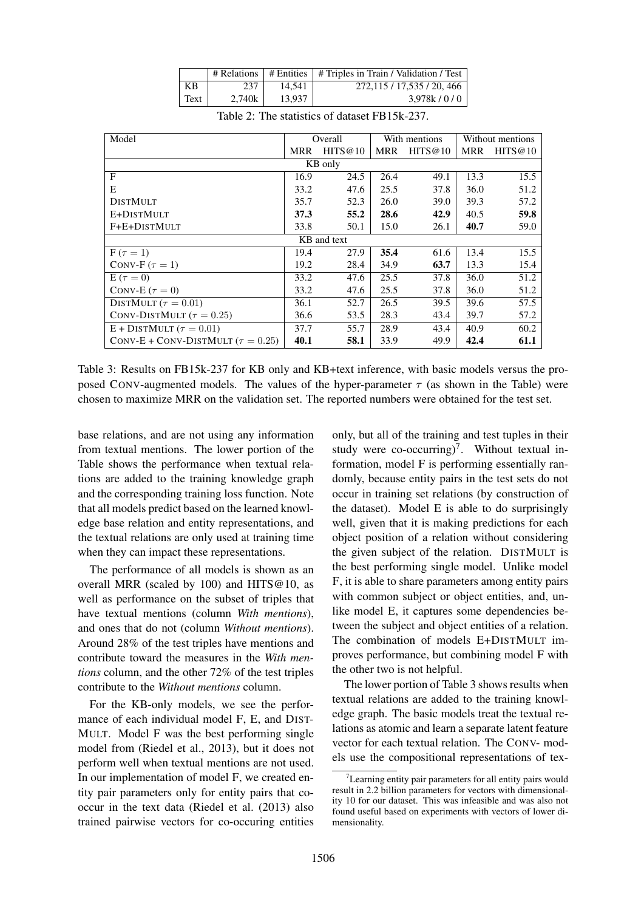|      | # Relations |        | $\#$ Entities $\#$ Triples in Train / Validation / Test |
|------|-------------|--------|---------------------------------------------------------|
| KВ   | 237         | 14.541 | 272.115 / 17.535 / 20, 466                              |
| Text | 2.740k      | 13.937 | 3.978k/0/0                                              |

| Model                                    | Overall |         | With mentions |         | Without mentions |         |  |  |  |  |
|------------------------------------------|---------|---------|---------------|---------|------------------|---------|--|--|--|--|
|                                          | MRR     | HITS@10 | MRR           | HITS@10 | <b>MRR</b>       | HITS@10 |  |  |  |  |
| KB only                                  |         |         |               |         |                  |         |  |  |  |  |
| $\mathbf{F}$                             | 16.9    | 24.5    | 26.4          | 49.1    | 13.3             | 15.5    |  |  |  |  |
| E                                        | 33.2    | 47.6    | 25.5          | 37.8    | 36.0             | 51.2    |  |  |  |  |
| <b>DISTMULT</b>                          | 35.7    | 52.3    | 26.0          | 39.0    | 39.3             | 57.2    |  |  |  |  |
| E+DISTMULT                               | 37.3    | 55.2    | 28.6          | 42.9    | 40.5             | 59.8    |  |  |  |  |
| F+E+DISTMULT                             | 33.8    | 50.1    | 15.0          | 26.1    | 40.7             | 59.0    |  |  |  |  |
| KB and text                              |         |         |               |         |                  |         |  |  |  |  |
| $F(\tau = 1)$                            | 19.4    | 27.9    | 35.4          | 61.6    | 13.4             | 15.5    |  |  |  |  |
| CONV-F $(\tau = 1)$                      | 19.2    | 28.4    | 34.9          | 63.7    | 13.3             | 15.4    |  |  |  |  |
| $E(\tau = 0)$                            | 33.2    | 47.6    | 25.5          | 37.8    | 36.0             | 51.2    |  |  |  |  |
| CONV-E $(\tau = 0)$                      | 33.2    | 47.6    | 25.5          | 37.8    | 36.0             | 51.2    |  |  |  |  |
| DISTMULT ( $\tau = 0.01$ )               | 36.1    | 52.7    | 26.5          | 39.5    | 39.6             | 57.5    |  |  |  |  |
| CONV-DISTMULT ( $\tau = 0.25$ )          | 36.6    | 53.5    | 28.3          | 43.4    | 39.7             | 57.2    |  |  |  |  |
| $E + DISTMULT$ ( $\tau = 0.01$ )         | 37.7    | 55.7    | 28.9          | 43.4    | 40.9             | 60.2    |  |  |  |  |
| CONV-E + CONV-DISTMULT ( $\tau = 0.25$ ) | 40.1    | 58.1    | 33.9          | 49.9    | 42.4             | 61.1    |  |  |  |  |

Table 2: The statistics of dataset FB15k-237.

Table 3: Results on FB15k-237 for KB only and KB+text inference, with basic models versus the proposed CONV-augmented models. The values of the hyper-parameter  $\tau$  (as shown in the Table) were chosen to maximize MRR on the validation set. The reported numbers were obtained for the test set.

base relations, and are not using any information from textual mentions. The lower portion of the Table shows the performance when textual relations are added to the training knowledge graph and the corresponding training loss function. Note that all models predict based on the learned knowledge base relation and entity representations, and the textual relations are only used at training time when they can impact these representations.

The performance of all models is shown as an overall MRR (scaled by 100) and HITS@10, as well as performance on the subset of triples that have textual mentions (column *With mentions*), and ones that do not (column *Without mentions*). Around 28% of the test triples have mentions and contribute toward the measures in the *With mentions* column, and the other 72% of the test triples contribute to the *Without mentions* column.

For the KB-only models, we see the performance of each individual model F, E, and DIST-MULT. Model F was the best performing single model from (Riedel et al., 2013), but it does not perform well when textual mentions are not used. In our implementation of model F, we created entity pair parameters only for entity pairs that cooccur in the text data (Riedel et al. (2013) also trained pairwise vectors for co-occuring entities

only, but all of the training and test tuples in their study were co-occurring)<sup>7</sup>. Without textual information, model F is performing essentially randomly, because entity pairs in the test sets do not occur in training set relations (by construction of the dataset). Model E is able to do surprisingly well, given that it is making predictions for each object position of a relation without considering the given subject of the relation. DISTMULT is the best performing single model. Unlike model F, it is able to share parameters among entity pairs with common subject or object entities, and, unlike model E, it captures some dependencies between the subject and object entities of a relation. The combination of models E+DISTMULT improves performance, but combining model F with the other two is not helpful.

The lower portion of Table 3 shows results when textual relations are added to the training knowledge graph. The basic models treat the textual relations as atomic and learn a separate latent feature vector for each textual relation. The CONV- models use the compositional representations of tex-

Learning entity pair parameters for all entity pairs would result in 2.2 billion parameters for vectors with dimensionality 10 for our dataset. This was infeasible and was also not found useful based on experiments with vectors of lower dimensionality.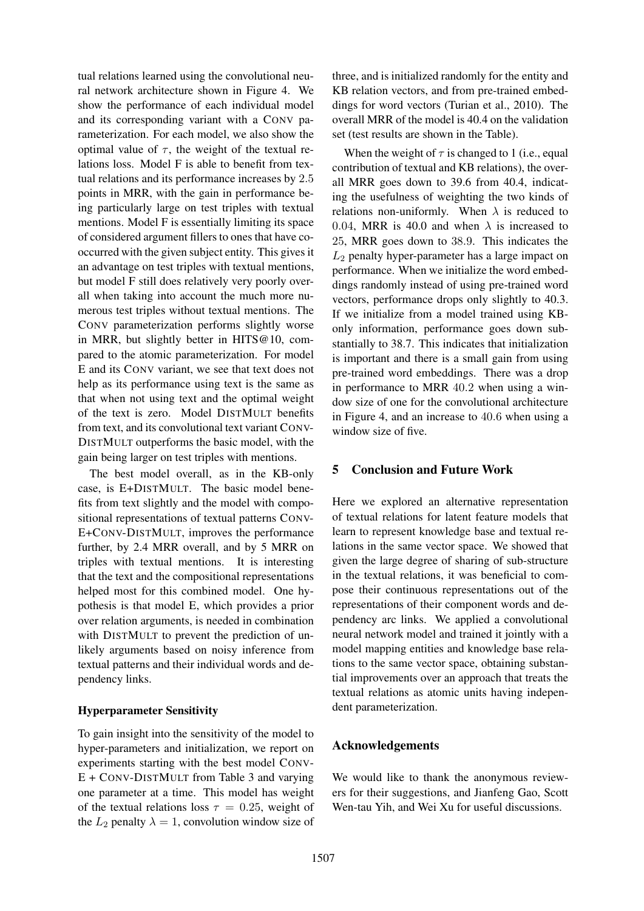tual relations learned using the convolutional neural network architecture shown in Figure 4. We show the performance of each individual model and its corresponding variant with a CONV parameterization. For each model, we also show the optimal value of  $\tau$ , the weight of the textual relations loss. Model F is able to benefit from textual relations and its performance increases by 2.5 points in MRR, with the gain in performance being particularly large on test triples with textual mentions. Model F is essentially limiting its space of considered argument fillers to ones that have cooccurred with the given subject entity. This gives it an advantage on test triples with textual mentions, but model F still does relatively very poorly overall when taking into account the much more numerous test triples without textual mentions. The CONV parameterization performs slightly worse in MRR, but slightly better in HITS@10, compared to the atomic parameterization. For model E and its CONV variant, we see that text does not help as its performance using text is the same as that when not using text and the optimal weight of the text is zero. Model DISTMULT benefits from text, and its convolutional text variant CONV-DISTMULT outperforms the basic model, with the gain being larger on test triples with mentions.

The best model overall, as in the KB-only case, is E+DISTMULT. The basic model benefits from text slightly and the model with compositional representations of textual patterns CONV-E+CONV-DISTMULT, improves the performance further, by 2.4 MRR overall, and by 5 MRR on triples with textual mentions. It is interesting that the text and the compositional representations helped most for this combined model. One hypothesis is that model E, which provides a prior over relation arguments, is needed in combination with DISTMULT to prevent the prediction of unlikely arguments based on noisy inference from textual patterns and their individual words and dependency links.

# Hyperparameter Sensitivity

To gain insight into the sensitivity of the model to hyper-parameters and initialization, we report on experiments starting with the best model CONV-E + CONV-DISTMULT from Table 3 and varying one parameter at a time. This model has weight of the textual relations loss  $\tau = 0.25$ , weight of the  $L_2$  penalty  $\lambda = 1$ , convolution window size of

three, and is initialized randomly for the entity and KB relation vectors, and from pre-trained embeddings for word vectors (Turian et al., 2010). The overall MRR of the model is 40.4 on the validation set (test results are shown in the Table).

When the weight of  $\tau$  is changed to 1 (i.e., equal contribution of textual and KB relations), the overall MRR goes down to 39.6 from 40.4, indicating the usefulness of weighting the two kinds of relations non-uniformly. When  $\lambda$  is reduced to 0.04, MRR is 40.0 and when  $\lambda$  is increased to 25, MRR goes down to 38.9. This indicates the  $L_2$  penalty hyper-parameter has a large impact on performance. When we initialize the word embeddings randomly instead of using pre-trained word vectors, performance drops only slightly to 40.3. If we initialize from a model trained using KBonly information, performance goes down substantially to 38.7. This indicates that initialization is important and there is a small gain from using pre-trained word embeddings. There was a drop in performance to MRR 40.2 when using a window size of one for the convolutional architecture in Figure 4, and an increase to 40.6 when using a window size of five.

# 5 Conclusion and Future Work

Here we explored an alternative representation of textual relations for latent feature models that learn to represent knowledge base and textual relations in the same vector space. We showed that given the large degree of sharing of sub-structure in the textual relations, it was beneficial to compose their continuous representations out of the representations of their component words and dependency arc links. We applied a convolutional neural network model and trained it jointly with a model mapping entities and knowledge base relations to the same vector space, obtaining substantial improvements over an approach that treats the textual relations as atomic units having independent parameterization.

# Acknowledgements

We would like to thank the anonymous reviewers for their suggestions, and Jianfeng Gao, Scott Wen-tau Yih, and Wei Xu for useful discussions.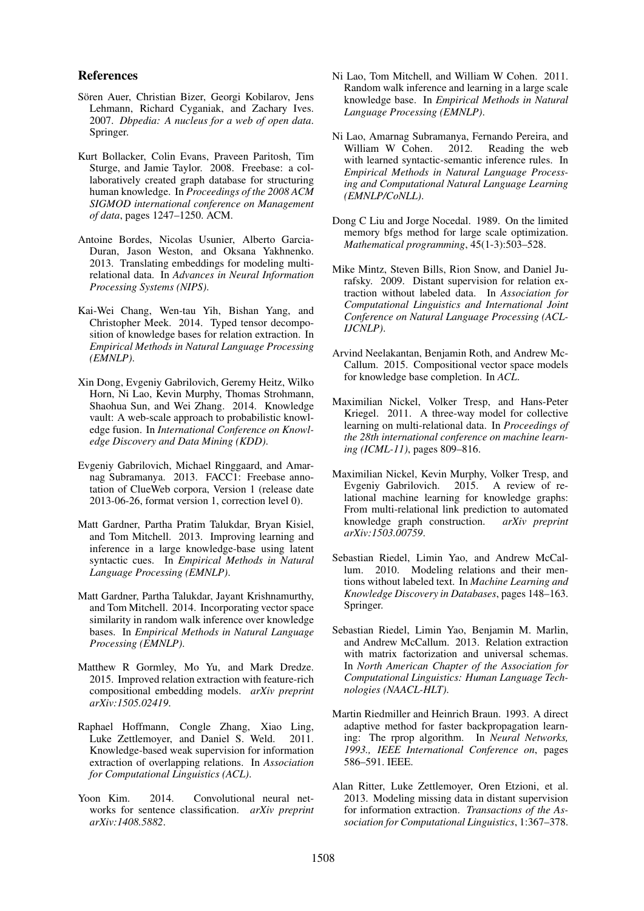### References

- Sören Auer, Christian Bizer, Georgi Kobilarov, Jens Lehmann, Richard Cyganiak, and Zachary Ives. 2007. *Dbpedia: A nucleus for a web of open data*. Springer.
- Kurt Bollacker, Colin Evans, Praveen Paritosh, Tim Sturge, and Jamie Taylor. 2008. Freebase: a collaboratively created graph database for structuring human knowledge. In *Proceedings of the 2008 ACM SIGMOD international conference on Management of data*, pages 1247–1250. ACM.
- Antoine Bordes, Nicolas Usunier, Alberto Garcia-Duran, Jason Weston, and Oksana Yakhnenko. 2013. Translating embeddings for modeling multirelational data. In *Advances in Neural Information Processing Systems (NIPS)*.
- Kai-Wei Chang, Wen-tau Yih, Bishan Yang, and Christopher Meek. 2014. Typed tensor decomposition of knowledge bases for relation extraction. In *Empirical Methods in Natural Language Processing (EMNLP)*.
- Xin Dong, Evgeniy Gabrilovich, Geremy Heitz, Wilko Horn, Ni Lao, Kevin Murphy, Thomas Strohmann, Shaohua Sun, and Wei Zhang. 2014. Knowledge vault: A web-scale approach to probabilistic knowledge fusion. In *International Conference on Knowledge Discovery and Data Mining (KDD)*.
- Evgeniy Gabrilovich, Michael Ringgaard, and Amarnag Subramanya. 2013. FACC1: Freebase annotation of ClueWeb corpora, Version 1 (release date 2013-06-26, format version 1, correction level 0).
- Matt Gardner, Partha Pratim Talukdar, Bryan Kisiel, and Tom Mitchell. 2013. Improving learning and inference in a large knowledge-base using latent syntactic cues. In *Empirical Methods in Natural Language Processing (EMNLP)*.
- Matt Gardner, Partha Talukdar, Jayant Krishnamurthy, and Tom Mitchell. 2014. Incorporating vector space similarity in random walk inference over knowledge bases. In *Empirical Methods in Natural Language Processing (EMNLP)*.
- Matthew R Gormley, Mo Yu, and Mark Dredze. 2015. Improved relation extraction with feature-rich compositional embedding models. *arXiv preprint arXiv:1505.02419*.
- Raphael Hoffmann, Congle Zhang, Xiao Ling, Luke Zettlemoyer, and Daniel S. Weld. 2011. Knowledge-based weak supervision for information extraction of overlapping relations. In *Association for Computational Linguistics (ACL)*.
- Yoon Kim. 2014. Convolutional neural networks for sentence classification. *arXiv preprint arXiv:1408.5882*.
- Ni Lao, Tom Mitchell, and William W Cohen. 2011. Random walk inference and learning in a large scale knowledge base. In *Empirical Methods in Natural Language Processing (EMNLP)*.
- Ni Lao, Amarnag Subramanya, Fernando Pereira, and William W Cohen. with learned syntactic-semantic inference rules. In *Empirical Methods in Natural Language Processing and Computational Natural Language Learning (EMNLP/CoNLL)*.
- Dong C Liu and Jorge Nocedal. 1989. On the limited memory bfgs method for large scale optimization. *Mathematical programming*, 45(1-3):503–528.
- Mike Mintz, Steven Bills, Rion Snow, and Daniel Jurafsky. 2009. Distant supervision for relation extraction without labeled data. In *Association for Computational Linguistics and International Joint Conference on Natural Language Processing (ACL-IJCNLP)*.
- Arvind Neelakantan, Benjamin Roth, and Andrew Mc-Callum. 2015. Compositional vector space models for knowledge base completion. In *ACL*.
- Maximilian Nickel, Volker Tresp, and Hans-Peter Kriegel. 2011. A three-way model for collective learning on multi-relational data. In *Proceedings of the 28th international conference on machine learning (ICML-11)*, pages 809–816.
- Maximilian Nickel, Kevin Murphy, Volker Tresp, and Evgeniy Gabrilovich. 2015. A review of relational machine learning for knowledge graphs: From multi-relational link prediction to automated knowledge graph construction. *arXiv preprint arXiv:1503.00759*.
- Sebastian Riedel, Limin Yao, and Andrew McCallum. 2010. Modeling relations and their mentions without labeled text. In *Machine Learning and Knowledge Discovery in Databases*, pages 148–163. Springer.
- Sebastian Riedel, Limin Yao, Benjamin M. Marlin, and Andrew McCallum. 2013. Relation extraction with matrix factorization and universal schemas. In *North American Chapter of the Association for Computational Linguistics: Human Language Technologies (NAACL-HLT)*.
- Martin Riedmiller and Heinrich Braun. 1993. A direct adaptive method for faster backpropagation learning: The rprop algorithm. In *Neural Networks, 1993., IEEE International Conference on*, pages 586–591. IEEE.
- Alan Ritter, Luke Zettlemoyer, Oren Etzioni, et al. 2013. Modeling missing data in distant supervision for information extraction. *Transactions of the Association for Computational Linguistics*, 1:367–378.